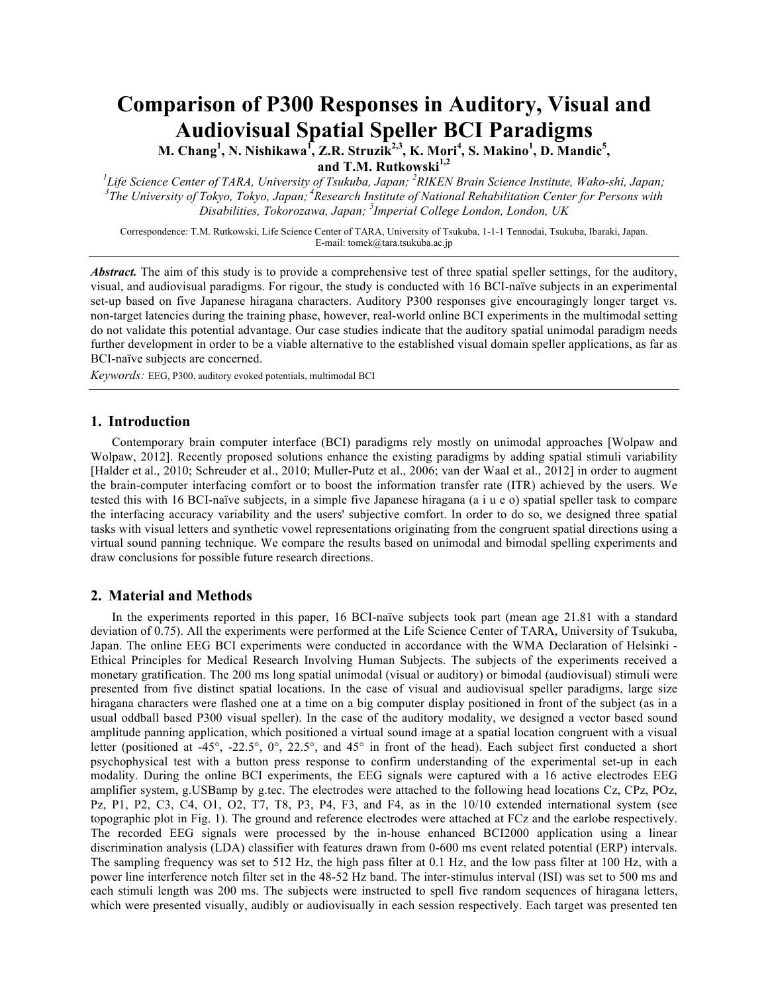# **Comparison of P300 Responses in Auditory, Visual and Audiovisual Spatial Speller BCI Paradigms**

**M. Chang<sup>1</sup>, N. Nishikawa<sup>1</sup>, Z.R. Struzik<sup>2,3</sup>, K. Mori<sup>4</sup>, S. Makino<sup>1</sup>, D. Mandic<sup>5</sup>, and T.M. Rutkowski1,2**

*1 Life Science Center of TARA, University of Tsukuba, Japan; <sup>2</sup> RIKEN Brain Science Institute, Wako-shi, Japan; 3 The University of Tokyo, Tokyo, Japan; <sup>4</sup> Research Institute of National Rehabilitation Center for Persons with Disabilities, Tokorozawa, Japan; <sup>5</sup> Imperial College London, London, UK*

Correspondence: T.M. Rutkowski, Life Science Center of TARA, University of Tsukuba, 1-1-1 Tennodai, Tsukuba, Ibaraki, Japan. E-mail: tomek@tara.tsukuba.ac.jp

*Abstract.* The aim of this study is to provide a comprehensive test of three spatial speller settings, for the auditory, visual, and audiovisual paradigms. For rigour, the study is conducted with 16 BCI-naïve subjects in an experimental set-up based on five Japanese hiragana characters. Auditory P300 responses give encouragingly longer target vs. non-target latencies during the training phase, however, real-world online BCI experiments in the multimodal setting do not validate this potential advantage. Our case studies indicate that the auditory spatial unimodal paradigm needs further development in order to be a viable alternative to the established visual domain speller applications, as far as BCI-naïve subjects are concerned.

*Keywords:* EEG, P300, auditory evoked potentials, multimodal BCI

### **1. Introduction**

Contemporary brain computer interface (BCI) paradigms rely mostly on unimodal approaches [Wolpaw and Wolpaw, 2012]. Recently proposed solutions enhance the existing paradigms by adding spatial stimuli variability [Halder et al., 2010; Schreuder et al., 2010; Muller-Putz et al., 2006; van der Waal et al., 2012] in order to augment the brain-computer interfacing comfort or to boost the information transfer rate (ITR) achieved by the users. We tested this with 16 BCI-naïve subjects, in a simple five Japanese hiragana (a i u e o) spatial speller task to compare the interfacing accuracy variability and the users' subjective comfort. In order to do so, we designed three spatial tasks with visual letters and synthetic vowel representations originating from the congruent spatial directions using a virtual sound panning technique. We compare the results based on unimodal and bimodal spelling experiments and draw conclusions for possible future research directions.

## **2. Material and Methods**

In the experiments reported in this paper, 16 BCI-naïve subjects took part (mean age 21.81 with a standard deviation of 0.75). All the experiments were performed at the Life Science Center of TARA, University of Tsukuba, Japan. The online EEG BCI experiments were conducted in accordance with the WMA Declaration of Helsinki - Ethical Principles for Medical Research Involving Human Subjects. The subjects of the experiments received a monetary gratification. The 200 ms long spatial unimodal (visual or auditory) or bimodal (audiovisual) stimuli were presented from five distinct spatial locations. In the case of visual and audiovisual speller paradigms, large size hiragana characters were flashed one at a time on a big computer display positioned in front of the subject (as in a usual oddball based P300 visual speller). In the case of the auditory modality, we designed a vector based sound amplitude panning application, which positioned a virtual sound image at a spatial location congruent with a visual letter (positioned at -45°, -22.5°, 0°, 22.5°, and 45° in front of the head). Each subject first conducted a short psychophysical test with a button press response to confirm understanding of the experimental set-up in each modality. During the online BCI experiments, the EEG signals were captured with a 16 active electrodes EEG amplifier system, g.USBamp by g.tec. The electrodes were attached to the following head locations Cz, CPz, POz, Pz, P1, P2, C3, C4, O1, O2, T7, T8, P3, P4, F3, and F4, as in the 10/10 extended international system (see topographic plot in Fig. 1). The ground and reference electrodes were attached at FCz and the earlobe respectively. The recorded EEG signals were processed by the in-house enhanced BCI2000 application using a linear discrimination analysis (LDA) classifier with features drawn from 0-600 ms event related potential (ERP) intervals. The sampling frequency was set to 512 Hz, the high pass filter at 0.1 Hz, and the low pass filter at 100 Hz, with a power line interference notch filter set in the 48-52 Hz band. The inter-stimulus interval (ISI) was set to 500 ms and each stimuli length was 200 ms. The subjects were instructed to spell five random sequences of hiragana letters, which were presented visually, audibly or audiovisually in each session respectively. Each target was presented ten